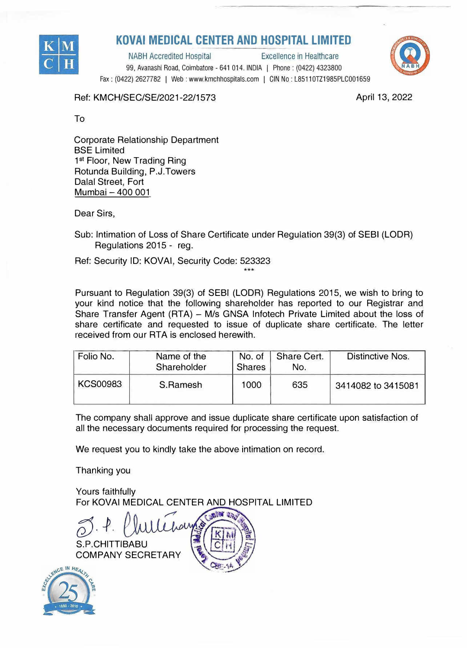

## **KOVAi MEDICAL CENTER AND HOSPITAL LIMITED**

NABH Accredited Hospital Excellence in Healthcare 99, Avanashi Road, Coimbatore - 641 014. INDIA | Phone: (0422) 4323800 Fax : (0422) 2627782 I Web : www.kmchhospitals.com I GIN No : L85110TZ1985PLC001659



Ref: KMCH/SEC/SE/2021-22/1573

April 13, 2022

To

Corporate Relationship Department BSE Limited 1<sup>st</sup> Floor, New Trading Ring Rotunda Building, P.J.Towers Dalal Street, Fort Mumbai - 400 001

Dear Sirs,

Sub: Intimation of Loss of Share Certificate under Regulation 39(3) of SEBI (LODA) Regulations 2015 - reg.

Ref: Security ID: KOVAi, Security Code: 523323 \*\*\*

Pursuant to Regulation 39(3) of SEBI (LODA) Regulations 2015, we wish to bring to your kind notice that the following shareholder has reported to our Registrar and Share Transfer Agent (RTA) - M/s GNSA Infotech Private Limited about the loss of share certificate and requested to issue of duplicate share certificate. The letter received from our RTA is enclosed herewith.

| Folio No.       | Name of the<br>Shareholder | No. of<br><b>Shares</b> | Share Cert.<br>No. | Distinctive Nos.   |
|-----------------|----------------------------|-------------------------|--------------------|--------------------|
| <b>KCS00983</b> | S.Ramesh                   | 1000                    | 635                | 3414082 to 3415081 |

The company shall approve and issue duplicate share certificate upon satisfaction of all the necessary documents required for processing the request.

We request you to kindly take the above intimation on record.

Thanking you

Yours faithfully For KOVAi MEDICAL CENTER AND HOSPITAL LIMITED

*55. -P.* S.P.CHITTIBABU COMPANY SECRETARY